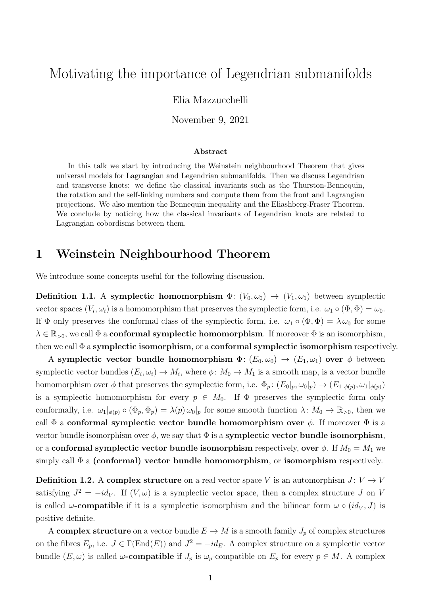# Motivating the importance of Legendrian submanifolds

Elia Mazzucchelli

November 9, 2021

#### Abstract

In this talk we start by introducing the Weinstein neighbourhood Theorem that gives universal models for Lagrangian and Legendrian submanifolds. Then we discuss Legendrian and transverse knots: we define the classical invariants such as the Thurston-Bennequin, the rotation and the self-linking numbers and compute them from the front and Lagrangian projections. We also mention the Bennequin inequality and the Eliashberg-Fraser Theorem. We conclude by noticing how the classical invariants of Legendrian knots are related to Lagrangian cobordisms between them.

## 1 Weinstein Neighbourhood Theorem

We introduce some concepts useful for the following discussion.

Definition 1.1. A symplectic homomorphism  $\Phi: (V_0, \omega_0) \to (V_1, \omega_1)$  between symplectic vector spaces  $(V_i, \omega_i)$  is a homomorphism that preserves the symplectic form, i.e.  $\omega_1 \circ (\Phi, \Phi) = \omega_0$ . If  $\Phi$  only preserves the conformal class of the symplectic form, i.e.  $\omega_1 \circ (\Phi, \Phi) = \lambda \omega_0$  for some  $\lambda \in \mathbb{R}_{>0}$ , we call  $\Phi$  a **conformal symplectic homomorphism**. If moreover  $\Phi$  is an isomorphism, then we call  $\Phi$  a symplectic isomorphism, or a conformal symplectic isomorphism respectively.

A symplectic vector bundle homomorphism  $\Phi: (E_0, \omega_0) \to (E_1, \omega_1)$  over  $\phi$  between symplectic vector bundles  $(E_i, \omega_i) \to M_i$ , where  $\phi \colon M_0 \to M_1$  is a smooth map, is a vector bundle homomorphism over  $\phi$  that preserves the symplectic form, i.e.  $\Phi_p$ :  $(E_0|_p, \omega_0|_p) \to (E_1|_{\phi(p)}, \omega_1|_{\phi(p)})$ is a symplectic homomorphism for every  $p \in M_0$ . If  $\Phi$  preserves the symplectic form only conformally, i.e.  $\omega_1|_{\phi(p)} \circ (\Phi_p, \Phi_p) = \lambda(p) \omega_0|_p$  for some smooth function  $\lambda: M_0 \to \mathbb{R}_{>0}$ , then we call  $\Phi$  a conformal symplectic vector bundle homomorphism over  $\phi$ . If moreover  $\Phi$  is a vector bundle isomorphism over  $\phi$ , we say that  $\Phi$  is a **symplectic vector bundle isomorphism**, or a conformal symplectic vector bundle isomorphism respectively, over  $\phi$ . If  $M_0 = M_1$  we simply call  $\Phi$  a (conformal) vector bundle homomorphism, or isomorphism respectively.

**Definition 1.2.** A complex structure on a real vector space V is an automorphism  $J: V \to V$ satisfying  $J^2 = -id_V$ . If  $(V, \omega)$  is a symplectic vector space, then a complex structure J on V is called  $\omega$ -compatible if it is a symplectic isomorphism and the bilinear form  $\omega \circ (id_V, J)$  is positive definite.

A complex structure on a vector bundle  $E \to M$  is a smooth family  $J_p$  of complex structures on the fibres  $E_p$ , i.e.  $J \in \Gamma(\text{End}(E))$  and  $J^2 = -id_E$ . A complex structure on a symplectic vector bundle  $(E, \omega)$  is called  $\omega$ -compatible if  $J_p$  is  $\omega_p$ -compatible on  $E_p$  for every  $p \in M$ . A complex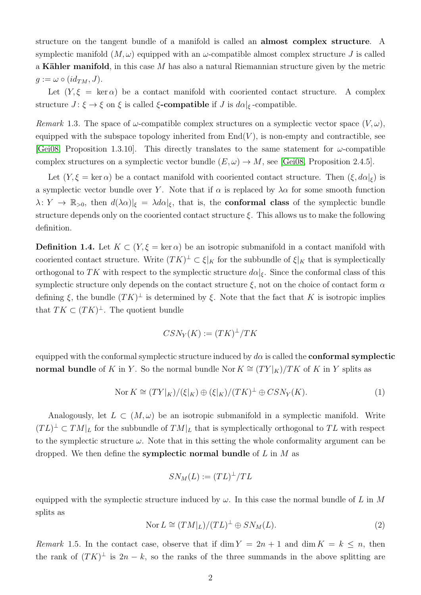structure on the tangent bundle of a manifold is called an almost complex structure. A symplectic manifold  $(M, \omega)$  equipped with an  $\omega$ -compatible almost complex structure J is called a Kähler manifold, in this case M has also a natural Riemannian structure given by the metric  $g := \omega \circ (id_{TM}, J).$ 

Let  $(Y, \xi = \ker \alpha)$  be a contact manifold with cooriented contact structure. A complex structure  $J: \xi \to \xi$  on  $\xi$  is called  $\xi$ -compatible if  $J$  is  $d\alpha|_{\xi}$ -compatible.

Remark 1.3. The space of  $\omega$ -compatible complex structures on a symplectic vector space  $(V, \omega)$ , equipped with the subspace topology inherited from  $End(V)$ , is non-empty and contractible, see [\[Gei08,](#page-19-0) Proposition 1.3.10]. This directly translates to the same statement for  $\omega$ -compatible complex structures on a symplectic vector bundle  $(E, \omega) \rightarrow M$ , see [\[Gei08,](#page-19-0) Proposition 2.4.5].

Let  $(Y, \xi = \ker \alpha)$  be a contact manifold with cooriented contact structure. Then  $(\xi, d\alpha|_{\xi})$  is a symplectic vector bundle over Y. Note that if  $\alpha$  is replaced by  $\lambda \alpha$  for some smooth function  $\lambda: Y \to \mathbb{R}_{>0}$ , then  $d(\lambda \alpha)|_{\xi} = \lambda d\alpha|_{\xi}$ , that is, the **conformal class** of the symplectic bundle structure depends only on the cooriented contact structure  $\xi$ . This allows us to make the following definition.

**Definition 1.4.** Let  $K \subset (Y, \xi = \ker \alpha)$  be an isotropic submanifold in a contact manifold with cooriented contact structure. Write  $(TK)^{\perp} \subset \xi|_K$  for the subbundle of  $\xi|_K$  that is symplectically orthogonal to TK with respect to the symplectic structure  $d\alpha|_{\xi}$ . Since the conformal class of this symplectic structure only depends on the contact structure  $\xi$ , not on the choice of contact form  $\alpha$ defining  $\xi$ , the bundle  $(TK)^{\perp}$  is determined by  $\xi$ . Note that the fact that K is isotropic implies that  $TK \subset (TK)^{\perp}$ . The quotient bundle

$$
CSN_Y(K) := (TK)^{\perp}/TK
$$

equipped with the conformal symplectic structure induced by  $d\alpha$  is called the **conformal symplectic** normal bundle of K in Y. So the normal bundle Nor  $K \cong (TY|_K)/TK$  of K in Y splits as

<span id="page-1-0"></span>
$$
\text{Nor } K \cong (TY|_K) / (\xi|_K) \oplus (\xi|_K) / (TK)^{\perp} \oplus CSN_Y(K). \tag{1}
$$

Analogously, let  $L \subset (M, \omega)$  be an isotropic submanifold in a symplectic manifold. Write  $(TL)^{\perp} \subset TM|_{L}$  for the subbundle of  $TM|_{L}$  that is symplectically orthogonal to TL with respect to the symplectic structure  $\omega$ . Note that in this setting the whole conformality argument can be dropped. We then define the **symplectic normal bundle** of  $L$  in  $M$  as

$$
SN_M(L):=(TL)^\perp /TL
$$

equipped with the symplectic structure induced by  $\omega$ . In this case the normal bundle of L in M splits as

<span id="page-1-1"></span>
$$
Nor L \cong (TM|_L)/(TL)^{\perp} \oplus SN_M(L). \tag{2}
$$

<span id="page-1-2"></span>Remark 1.5. In the contact case, observe that if dim  $Y = 2n + 1$  and dim  $K = k \leq n$ , then the rank of  $(TK)^{\perp}$  is  $2n - k$ , so the ranks of the three summands in the above splitting are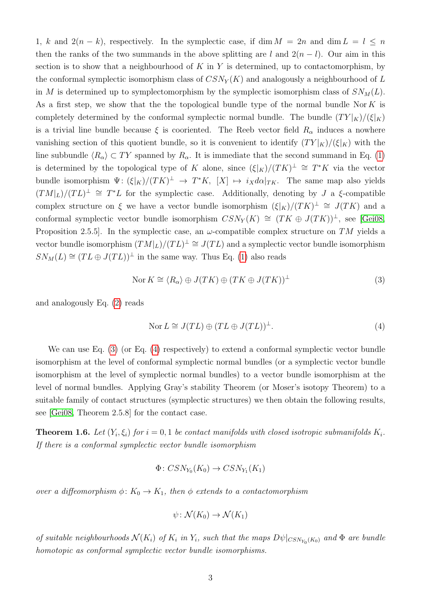1, k and  $2(n - k)$ , respectively. In the symplectic case, if dim  $M = 2n$  and dim  $L = l \leq n$ then the ranks of the two summands in the above splitting are l and  $2(n - l)$ . Our aim in this section is to show that a neighbourhood of  $K$  in  $Y$  is determined, up to contactomorphism, by the conformal symplectic isomorphism class of  $CSN_Y(K)$  and analogously a neighbourhood of L in M is determined up to symplectomorphism by the symplectic isomorphism class of  $SN<sub>M</sub>(L)$ . As a first step, we show that the the topological bundle type of the normal bundle Nor  $K$  is completely determined by the conformal symplectic normal bundle. The bundle  $(TY|_K)/(\xi|_K)$ is a trivial line bundle because  $\xi$  is cooriented. The Reeb vector field  $R_{\alpha}$  induces a nowhere vanishing section of this quotient bundle, so it is convenient to identify  $(TY|_K)/(\xi|_K)$  with the line subbundle  $\langle R_{\alpha} \rangle \subset TY$  spanned by  $R_{\alpha}$ . It is immediate that the second summand in Eq. [\(1\)](#page-1-0) is determined by the topological type of K alone, since  $(\xi|_K)/(TK)^{\perp} \cong T^*K$  via the vector bundle isomorphism  $\Psi: (\xi|_K)/(TK)^{\perp} \to T^*K$ ,  $[X] \mapsto i_X d\alpha|_{TK}$ . The same map also yields  $(TM|_L)/(TL)^{\perp} \cong T^*L$  for the symplectic case. Additionally, denoting by J a  $\xi$ -compatible complex structure on  $\xi$  we have a vector bundle isomorphism  $(\xi|_K)/(TK)^{\perp} \cong J(TK)$  and a conformal symplectic vector bundle isomorphism  $CSN_Y(K) \cong (TK \oplus J(TK))^{\perp}$ , see [\[Gei08,](#page-19-0) Proposition 2.5.5. In the symplectic case, an  $\omega$ -compatible complex structure on TM yields a vector bundle isomorphism  $(TM|_L)/(TL)^{\perp} \cong J(TL)$  and a symplectic vector bundle isomorphism  $SN_M(L) \cong (TL \oplus J(TL))^{\perp}$  in the same way. Thus Eq. [\(1\)](#page-1-0) also reads

<span id="page-2-0"></span>
$$
Nor K \cong \langle R_{\alpha} \rangle \oplus J(TK) \oplus (TK \oplus J(TK))^{\perp}
$$
\n(3)

and analogously Eq. [\(2\)](#page-1-1) reads

<span id="page-2-1"></span>
$$
Nor L \cong J(TL) \oplus (TL \oplus J(TL))^{\perp}.
$$
\n(4)

We can use Eq. [\(3\)](#page-2-0) (or Eq. [\(4\)](#page-2-1) respectively) to extend a conformal symplectic vector bundle isomorphism at the level of conformal symplectic normal bundles (or a symplectic vector bundle isomorphism at the level of symplectic normal bundles) to a vector bundle isomorphism at the level of normal bundles. Applying Gray's stability Theorem (or Moser's isotopy Theorem) to a suitable family of contact structures (symplectic structures) we then obtain the following results, see [\[Gei08,](#page-19-0) Theorem 2.5.8] for the contact case.

<span id="page-2-2"></span>**Theorem 1.6.** Let  $(Y_i, \xi_i)$  for  $i = 0, 1$  be contact manifolds with closed isotropic submanifolds  $K_i$ . If there is a conformal symplectic vector bundle isomorphism

$$
\Phi \colon CSN_{Y_0}(K_0) \to CSN_{Y_1}(K_1)
$$

over a diffeomorphism  $\phi: K_0 \to K_1$ , then  $\phi$  extends to a contactomorphism

$$
\psi \colon \mathcal{N}(K_0) \to \mathcal{N}(K_1)
$$

of suitable neighbourhoods  $\mathcal{N}(K_i)$  of  $K_i$  in  $Y_i$ , such that the maps  $D\psi|_{CSN_{Y_0}(K_0)}$  and  $\Phi$  are bundle homotopic as conformal symplectic vector bundle isomorphisms.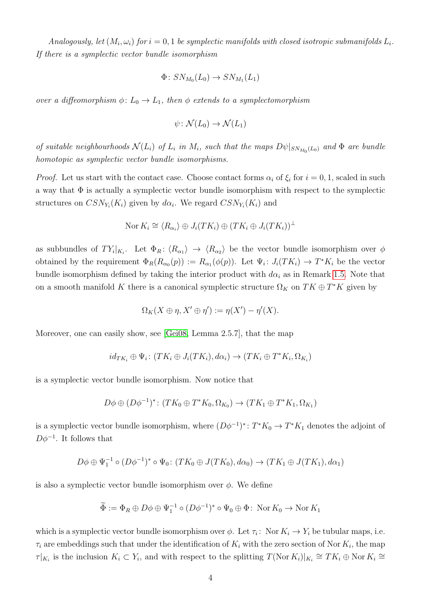$Analogously, let (M_i, \omega_i) for i = 0, 1 be symplectic manifolds with closed isotropic submanifolds  $L_i$ .$ If there is a symplectic vector bundle isomorphism

$$
\Phi\colon SN_{M_0}(L_0)\to SN_{M_1}(L_1)
$$

over a diffeomorphism  $\phi: L_0 \to L_1$ , then  $\phi$  extends to a symplectomorphism

$$
\psi \colon \mathcal{N}(L_0) \to \mathcal{N}(L_1)
$$

of suitable neighbourhoods  $\mathcal{N}(L_i)$  of  $L_i$  in  $M_i$ , such that the maps  $D\psi|_{SN_{M_0}(L_0)}$  and  $\Phi$  are bundle homotopic as symplectic vector bundle isomorphisms.

*Proof.* Let us start with the contact case. Choose contact forms  $\alpha_i$  of  $\xi_i$  for  $i = 0, 1$ , scaled in such a way that  $\Phi$  is actually a symplectic vector bundle isomorphism with respect to the symplectic structures on  $CSN_{Y_i}(K_i)$  given by  $d\alpha_i$ . We regard  $CSN_{Y_i}(K_i)$  and

$$
\text{Nor } K_i \cong \langle R_{\alpha_i} \rangle \oplus J_i(TK_i) \oplus (TK_i \oplus J_i(TK_i))^\perp
$$

as subbundles of  $TY_i|_{K_i}$ . Let  $\Phi_R: \langle R_{\alpha_1} \rangle \to \langle R_{\alpha_2} \rangle$  be the vector bundle isomorphism over  $\phi$ obtained by the requirement  $\Phi_R(R_{\alpha_0}(p)) := R_{\alpha_1}(\phi(p))$ . Let  $\Psi_i: J_i(TK_i) \to T^*K_i$  be the vector bundle isomorphism defined by taking the interior product with  $d\alpha_i$  as in Remark [1.5.](#page-1-2) Note that on a smooth manifold K there is a canonical symplectic structure  $\Omega_K$  on  $TK \oplus T^*K$  given by

$$
\Omega_K(X \oplus \eta, X' \oplus \eta') := \eta(X') - \eta'(X).
$$

Moreover, one can easily show, see [\[Gei08,](#page-19-0) Lemma 2.5.7], that the map

$$
id_{TK_i} \oplus \Psi_i \colon (TK_i \oplus J_i(TK_i), d\alpha_i) \to (TK_i \oplus T^*K_i, \Omega_{K_i})
$$

is a symplectic vector bundle isomorphism. Now notice that

$$
D\phi \oplus (D\phi^{-1})^* \colon (TK_0 \oplus T^*K_0, \Omega_{K_0}) \to (TK_1 \oplus T^*K_1, \Omega_{K_1})
$$

is a symplectic vector bundle isomorphism, where  $(D\phi^{-1})^*$ :  $T^*K_0 \to T^*K_1$  denotes the adjoint of  $D\phi^{-1}$ . It follows that

$$
D\phi \oplus \Psi_1^{-1} \circ (D\phi^{-1})^* \circ \Psi_0 \colon (TK_0 \oplus J(TK_0), d\alpha_0) \to (TK_1 \oplus J(TK_1), d\alpha_1)
$$

is also a symplectic vector bundle isomorphism over  $\phi$ . We define

$$
\widetilde{\Phi} := \Phi_R \oplus D\phi \oplus \Psi_1^{-1} \circ (D\phi^{-1})^* \circ \Psi_0 \oplus \Phi \colon \operatorname{Nor} K_0 \to \operatorname{Nor} K_1
$$

which is a symplectic vector bundle isomorphism over  $\phi$ . Let  $\tau_i$ : Nor  $K_i \to Y_i$  be tubular maps, i.e.  $\tau_i$  are embeddings such that under the identification of  $K_i$  with the zero section of Nor  $K_i$ , the map  $\tau|_{K_i}$  is the inclusion  $K_i \subset Y_i$ , and with respect to the splitting  $T(\text{Nor } K_i)|_{K_i} \cong TK_i \oplus \text{Nor } K_i \cong$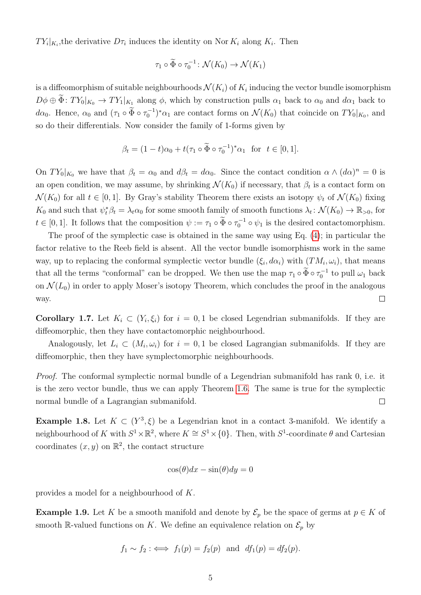$TY_i|_{K_i}$ , the derivative  $D\tau_i$  induces the identity on Nor  $K_i$  along  $K_i$ . Then

$$
\tau_1 \circ \widetilde{\Phi} \circ \tau_0^{-1} \colon \mathcal{N}(K_0) \to \mathcal{N}(K_1)
$$

is a diffeomorphism of suitable neighbourhoods  ${\cal N}(K_i)$  of  $K_i$  inducing the vector bundle isomorphism  $D\phi \oplus \tilde{\Phi}$ :  $TY_0|_{K_0} \to TY_1|_{K_1}$  along  $\phi$ , which by construction pulls  $\alpha_1$  back to  $\alpha_0$  and  $d\alpha_1$  back to d $\alpha_0$ . Hence,  $\alpha_0$  and  $(\tau_1 \circ \tilde{\Phi} \circ \tau_0^{-1})^* \alpha_1$  are contact forms on  $\mathcal{N}(K_0)$  that coincide on  $TY_0|_{K_0}$ , and so do their differentials. Now consider the family of 1-forms given by

$$
\beta_t = (1-t)\alpha_0 + t(\tau_1 \circ \widetilde{\Phi} \circ \tau_0^{-1})^* \alpha_1 \text{ for } t \in [0,1].
$$

On  $TY_0|_{K_0}$  we have that  $\beta_t = \alpha_0$  and  $d\beta_t = d\alpha_0$ . Since the contact condition  $\alpha \wedge (d\alpha)^n = 0$  is an open condition, we may assume, by shrinking  $\mathcal{N}(K_0)$  if necessary, that  $\beta_t$  is a contact form on  $\mathcal{N}(K_0)$  for all  $t \in [0,1]$ . By Gray's stability Theorem there exists an isotopy  $\psi_t$  of  $\mathcal{N}(K_0)$  fixing  $K_0$  and such that  $\psi_t^* \beta_t = \lambda_t \alpha_0$  for some smooth family of smooth functions  $\lambda_t \colon \mathcal{N}(K_0) \to \mathbb{R}_{>0}$ , for  $t \in [0,1]$ . It follows that the composition  $\psi := \tau_1 \circ \tilde{\Phi} \circ \tau_0^{-1} \circ \psi_1$  is the desired contactomorphism.

The proof of the symplectic case is obtained in the same way using Eq. [\(4\)](#page-2-1); in particular the factor relative to the Reeb field is absent. All the vector bundle isomorphisms work in the same way, up to replacing the conformal symplectic vector bundle  $(\xi_i, d\alpha_i)$  with  $(TM_i, \omega_i)$ , that means that all the terms "conformal" can be dropped. We then use the map  $\tau_1 \circ \tilde{\Phi} \circ \tau_0^{-1}$  to pull  $\omega_1$  back on  $\mathcal{N}(L_0)$  in order to apply Moser's isotopy Theorem, which concludes the proof in the analogous  $\Box$ way.

<span id="page-4-0"></span>**Corollary 1.7.** Let  $K_i \subset (Y_i, \xi_i)$  for  $i = 0, 1$  be closed Legendrian submanifolds. If they are diffeomorphic, then they have contactomorphic neighbourhood.

Analogously, let  $L_i \subset (M_i, \omega_i)$  for  $i = 0, 1$  be closed Lagrangian submanifolds. If they are diffeomorphic, then they have symplectomorphic neighbourhoods.

Proof. The conformal symplectic normal bundle of a Legendrian submanifold has rank 0, i.e. it is the zero vector bundle, thus we can apply Theorem [1.6.](#page-2-2) The same is true for the symplectic normal bundle of a Lagrangian submanifold.  $\Box$ 

<span id="page-4-1"></span>**Example 1.8.** Let  $K \subset (Y^3, \xi)$  be a Legendrian knot in a contact 3-manifold. We identify a neighbourhood of K with  $S^1 \times \mathbb{R}^2$ , where  $K \cong S^1 \times \{0\}$ . Then, with  $S^1$ -coordinate  $\theta$  and Cartesian coordinates  $(x, y)$  on  $\mathbb{R}^2$ , the contact structure

$$
\cos(\theta)dx - \sin(\theta)dy = 0
$$

provides a model for a neighbourhood of K.

**Example 1.9.** Let K be a smooth manifold and denote by  $\mathcal{E}_p$  be the space of germs at  $p \in K$  of smooth R-valued functions on K. We define an equivalence relation on  $\mathcal{E}_p$  by

$$
f_1 \sim f_2 : \iff f_1(p) = f_2(p) \text{ and } df_1(p) = df_2(p).
$$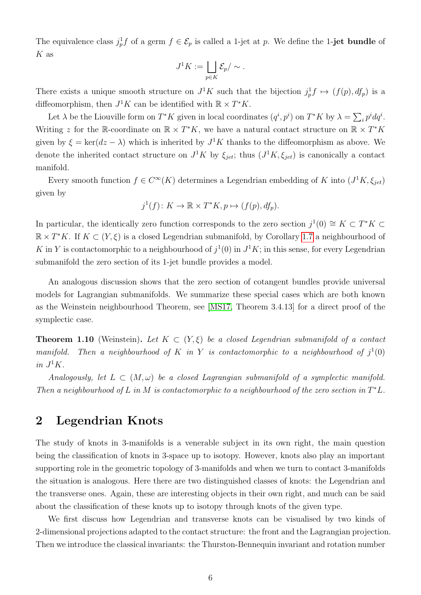The equivalence class  $j_p^1 f$  of a germ  $f \in \mathcal{E}_p$  is called a 1-jet at p. We define the 1-jet bundle of  $K$  as

$$
J^1K := \bigsqcup_{p \in K} \mathcal{E}_p / \sim.
$$

There exists a unique smooth structure on  $J^1K$  such that the bijection  $j_p^1 f \mapsto (f(p), df_p)$  is a diffeomorphism, then  $J^1 K$  can be identified with  $\mathbb{R} \times T^* K$ .

Let  $\lambda$  be the Liouville form on  $T^*K$  given in local coordinates  $(q^i, p^i)$  on  $T^*K$  by  $\lambda = \sum_i p^i dq^i$ . Writing z for the R-coordinate on  $\mathbb{R} \times T^*K$ , we have a natural contact structure on  $\mathbb{R} \times T^*K$ given by  $\xi = \ker(dz - \lambda)$  which is inherited by  $J^1K$  thanks to the diffeomorphism as above. We denote the inherited contact structure on  $J^1K$  by  $\xi_{jet}$ ; thus  $(J^1K, \xi_{jet})$  is canonically a contact manifold.

Every smooth function  $f \in C^{\infty}(K)$  determines a Legendrian embedding of K into  $(J<sup>1</sup>K, \xi_{jet})$ given by

$$
j^1(f) \colon K \to \mathbb{R} \times T^*K, p \mapsto (f(p), df_p).
$$

In particular, the identically zero function corresponds to the zero section  $j^1(0) \cong K \subset T^*K \subset$  $\mathbb{R} \times T^*K$ . If  $K \subset (Y, \xi)$  is a closed Legendrian submanifold, by Corollary [1.7](#page-4-0) a neighbourhood of K in Y is contactomorphic to a neighbourhood of  $j^1(0)$  in  $J^1K$ ; in this sense, for every Legendrian submanifold the zero section of its 1-jet bundle provides a model.

An analogous discussion shows that the zero section of cotangent bundles provide universal models for Lagrangian submanifolds. We summarize these special cases which are both known as the Weinstein neighbourhood Theorem, see [\[MS17,](#page-19-1) Theorem 3.4.13] for a direct proof of the symplectic case.

**Theorem 1.10** (Weinstein). Let  $K \subset (Y, \xi)$  be a closed Legendrian submanifold of a contact manifold. Then a neighbourhood of K in Y is contactomorphic to a neighbourhood of  $j^1(0)$ in  $J^1K$ .

Analogously, let  $L \subset (M, \omega)$  be a closed Lagrangian submanifold of a symplectic manifold. Then a neighbourhood of L in M is contactomorphic to a neighbourhood of the zero section in  $T^*L$ .

## 2 Legendrian Knots

The study of knots in 3-manifolds is a venerable subject in its own right, the main question being the classification of knots in 3-space up to isotopy. However, knots also play an important supporting role in the geometric topology of 3-manifolds and when we turn to contact 3-manifolds the situation is analogous. Here there are two distinguished classes of knots: the Legendrian and the transverse ones. Again, these are interesting objects in their own right, and much can be said about the classification of these knots up to isotopy through knots of the given type.

We first discuss how Legendrian and transverse knots can be visualised by two kinds of 2-dimensional projections adapted to the contact structure: the front and the Lagrangian projection. Then we introduce the classical invariants: the Thurston-Bennequin invariant and rotation number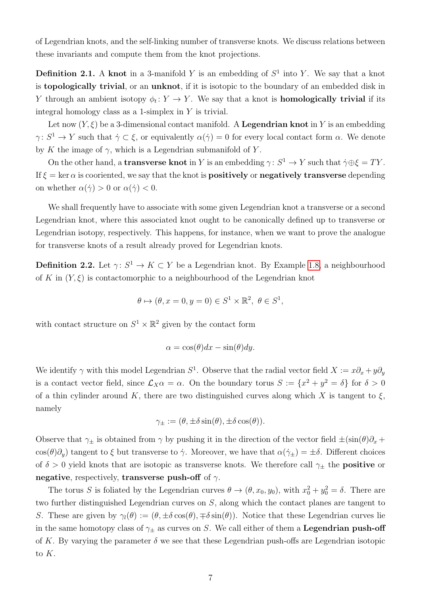of Legendrian knots, and the self-linking number of transverse knots. We discuss relations between these invariants and compute them from the knot projections.

**Definition 2.1.** A knot in a 3-manifold Y is an embedding of  $S<sup>1</sup>$  into Y. We say that a knot is topologically trivial, or an unknot, if it is isotopic to the boundary of an embedded disk in Y through an ambient isotopy  $\phi_t: Y \to Y$ . We say that a knot is **homologically trivial** if its integral homology class as a 1-simplex in Y is trivial.

Let now  $(Y, \xi)$  be a 3-dimensional contact manifold. A **Legendrian knot** in Y is an embedding  $\gamma: S^1 \to Y$  such that  $\dot{\gamma} \subset \xi$ , or equivalently  $\alpha(\dot{\gamma}) = 0$  for every local contact form  $\alpha$ . We denote by K the image of  $\gamma$ , which is a Legendrian submanifold of Y.

On the other hand, a **transverse knot** in Y is an embedding  $\gamma: S^1 \to Y$  such that  $\dot{\gamma} \oplus \xi = TY$ . If  $\xi = \ker \alpha$  is cooriented, we say that the knot is **positively** or **negatively transverse** depending on whether  $\alpha(\dot{\gamma}) > 0$  or  $\alpha(\dot{\gamma}) < 0$ .

We shall frequently have to associate with some given Legendrian knot a transverse or a second Legendrian knot, where this associated knot ought to be canonically defined up to transverse or Legendrian isotopy, respectively. This happens, for instance, when we want to prove the analogue for transverse knots of a result already proved for Legendrian knots.

**Definition 2.2.** Let  $\gamma: S^1 \to K \subset Y$  be a Legendrian knot. By Example [1.8,](#page-4-1) a neighbourhood of K in  $(Y, \xi)$  is contactomorphic to a neighbourhood of the Legendrian knot

$$
\theta \mapsto (\theta, x = 0, y = 0) \in S^1 \times \mathbb{R}^2, \ \theta \in S^1,
$$

with contact structure on  $S^1 \times \mathbb{R}^2$  given by the contact form

$$
\alpha = \cos(\theta)dx - \sin(\theta)dy.
$$

We identify  $\gamma$  with this model Legendrian  $S^1$ . Observe that the radial vector field  $X := x\partial_x + y\partial_y$ is a contact vector field, since  $\mathcal{L}_X\alpha = \alpha$ . On the boundary torus  $S := \{x^2 + y^2 = \delta\}$  for  $\delta > 0$ of a thin cylinder around K, there are two distinguished curves along which X is tangent to  $\xi$ , namely

$$
\gamma_{\pm} := (\theta, \pm \delta \sin(\theta), \pm \delta \cos(\theta)).
$$

Observe that  $\gamma_{\pm}$  is obtained from  $\gamma$  by pushing it in the direction of the vector field  $\pm(\sin(\theta)\partial_x +$ cos( $\theta$ ) $\partial_y$ ) tangent to  $\xi$  but transverse to  $\dot{\gamma}$ . Moreover, we have that  $\alpha(\dot{\gamma}_\pm) = \pm \delta$ . Different choices of  $\delta > 0$  yield knots that are isotopic as transverse knots. We therefore call  $\gamma_{\pm}$  the **positive** or negative, respectively, transverse push-off of  $\gamma$ .

The torus S is foliated by the Legendrian curves  $\theta \to (\theta, x_0, y_0)$ , with  $x_0^2 + y_0^2 = \delta$ . There are two further distinguished Legendrian curves on S, along which the contact planes are tangent to S. These are given by  $\gamma_l(\theta) := (\theta, \pm \delta \cos(\theta), \mp \delta \sin(\theta))$ . Notice that these Legendrian curves lie in the same homotopy class of  $\gamma_{\pm}$  as curves on S. We call either of them a **Legendrian push-off** of K. By varying the parameter  $\delta$  we see that these Legendrian push-offs are Legendrian isotopic to K.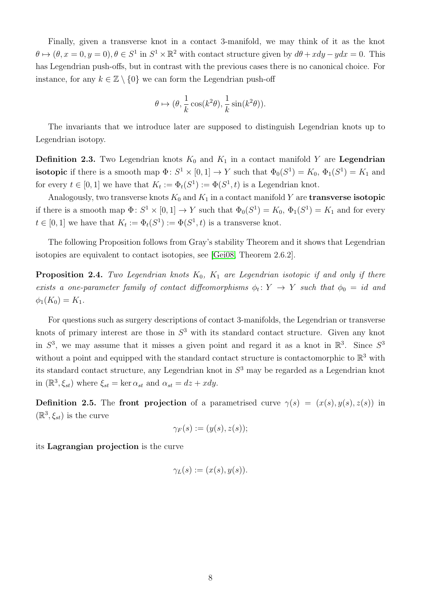Finally, given a transverse knot in a contact 3-manifold, we may think of it as the knot  $\theta \mapsto (\theta, x = 0, y = 0), \theta \in S^1$  in  $S^1 \times \mathbb{R}^2$  with contact structure given by  $d\theta + xdy - ydx = 0$ . This has Legendrian push-offs, but in contrast with the previous cases there is no canonical choice. For instance, for any  $k \in \mathbb{Z} \setminus \{0\}$  we can form the Legendrian push-off

$$
\theta \mapsto (\theta, \frac{1}{k}\cos(k^2\theta), \frac{1}{k}\sin(k^2\theta)).
$$

The invariants that we introduce later are supposed to distinguish Legendrian knots up to Legendrian isotopy.

**Definition 2.3.** Two Legendrian knots  $K_0$  and  $K_1$  in a contact manifold Y are **Legendrian isotopic** if there is a smooth map  $\Phi: S^1 \times [0,1] \to Y$  such that  $\Phi_0(S^1) = K_0$ ,  $\Phi_1(S^1) = K_1$  and for every  $t \in [0,1]$  we have that  $K_t := \Phi_t(S^1) := \Phi(S^1, t)$  is a Legendrian knot.

Analogously, two transverse knots  $K_0$  and  $K_1$  in a contact manifold Y are **transverse isotopic** if there is a smooth map  $\Phi: S^1 \times [0,1] \to Y$  such that  $\Phi_0(S^1) = K_0$ ,  $\Phi_1(S^1) = K_1$  and for every  $t \in [0,1]$  we have that  $K_t := \Phi_t(S^1) := \Phi(S^1, t)$  is a transverse knot.

The following Proposition follows from Gray's stability Theorem and it shows that Legendrian isotopies are equivalent to contact isotopies, see [\[Gei08,](#page-19-0) Theorem 2.6.2].

<span id="page-7-0"></span>**Proposition 2.4.** Two Legendrian knots  $K_0$ ,  $K_1$  are Legendrian isotopic if and only if there exists a one-parameter family of contact diffeomorphisms  $\phi_t \colon Y \to Y$  such that  $\phi_0 = id$  and  $\phi_1(K_0) = K_1.$ 

For questions such as surgery descriptions of contact 3-manifolds, the Legendrian or transverse knots of primary interest are those in  $S<sup>3</sup>$  with its standard contact structure. Given any knot in  $S^3$ , we may assume that it misses a given point and regard it as a knot in  $\mathbb{R}^3$ . Since  $S^3$ without a point and equipped with the standard contact structure is contactomorphic to  $\mathbb{R}^3$  with its standard contact structure, any Legendrian knot in  $S<sup>3</sup>$  may be regarded as a Legendrian knot in  $(\mathbb{R}^3, \xi_{st})$  where  $\xi_{st} = \ker \alpha_{st}$  and  $\alpha_{st} = dz + xdy$ .

**Definition 2.5.** The front projection of a parametrised curve  $\gamma(s) = (x(s), y(s), z(s))$  in  $(\mathbb{R}^3, \xi_{st})$  is the curve

$$
\gamma_F(s):=(y(s),z(s));
$$

its Lagrangian projection is the curve

$$
\gamma_L(s) := (x(s), y(s)).
$$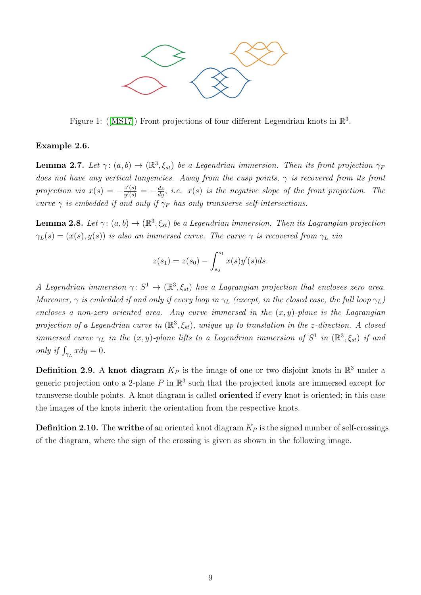

Figure1: ([\[MS17\]](#page-19-1)) Front projections of four different Legendrian knots in  $\mathbb{R}^3$ .

#### Example 2.6.

**Lemma 2.7.** Let  $\gamma: (a, b) \to (\mathbb{R}^3, \xi_{st})$  be a Legendrian immersion. Then its front projection  $\gamma_F$ does not have any vertical tangencies. Away from the cusp points,  $\gamma$  is recovered from its front projection via  $x(s) = -\frac{z'(s)}{y'(s)}$  $\frac{z'(s)}{y'(s)} = -\frac{dz}{dy}$ , i.e.  $x(s)$  is the negative slope of the front projection. The curve  $\gamma$  is embedded if and only if  $\gamma_F$  has only transverse self-intersections.

**Lemma 2.8.** Let  $\gamma: (a, b) \to (\mathbb{R}^3, \xi_{st})$  be a Legendrian immersion. Then its Lagrangian projection  $\gamma_L(s) = (x(s), y(s))$  is also an immersed curve. The curve  $\gamma$  is recovered from  $\gamma_L$  via

$$
z(s_1) = z(s_0) - \int_{s_0}^{s_1} x(s)y'(s)ds.
$$

A Legendrian immersion  $\gamma: S^1 \to (\mathbb{R}^3, \xi_{st})$  has a Lagrangian projection that encloses zero area. Moreover,  $\gamma$  is embedded if and only if every loop in  $\gamma_L$  (except, in the closed case, the full loop  $\gamma_L$ ) encloses a non-zero oriented area. Any curve immersed in the  $(x, y)$ -plane is the Lagrangian projection of a Legendrian curve in  $(\mathbb{R}^3,\xi_{st})$ , unique up to translation in the z-direction. A closed immersed curve  $\gamma_L$  in the  $(x, y)$ -plane lifts to a Legendrian immersion of  $S^1$  in  $(\mathbb{R}^3, \xi_{st})$  if and only if  $\int_{\gamma_L} x dy = 0$ .

**Definition 2.9.** A knot diagram  $K_P$  is the image of one or two disjoint knots in  $\mathbb{R}^3$  under a generic projection onto a 2-plane P in  $\mathbb{R}^3$  such that the projected knots are immersed except for transverse double points. A knot diagram is called oriented if every knot is oriented; in this case the images of the knots inherit the orientation from the respective knots.

<span id="page-8-0"></span>**Definition 2.10.** The writhe of an oriented knot diagram  $K_P$  is the signed number of self-crossings of the diagram, where the sign of the crossing is given as shown in the following image.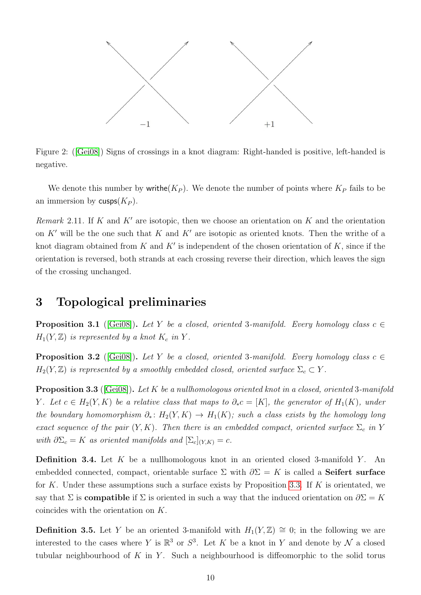

Figure 2:([\[Gei08\]](#page-19-0)) Signs of crossings in a knot diagram: Right-handed is positive, left-handed is negative.

We denote this number by writhe  $(K_P)$ . We denote the number of points where  $K_P$  fails to be an immersion by  $\mathsf{cusps}(K_P)$ .

Remark 2.11. If K and  $K'$  are isotopic, then we choose an orientation on K and the orientation on K' will be the one such that K and K' are isotopic as oriented knots. Then the writhe of a knot diagram obtained from K and K' is independent of the chosen orientation of K, since if the orientation is reversed, both strands at each crossing reverse their direction, which leaves the sign of the crossing unchanged.

## 3 Topological preliminaries

**Proposition 3.1** ([\[Gei08\]](#page-19-0)). Let Y be a closed, oriented 3-manifold. Every homology class  $c \in$  $H_1(Y, \mathbb{Z})$  is represented by a knot  $K_c$  in Y.

**Proposition 3.2** ([\[Gei08\]](#page-19-0)). Let Y be a closed, oriented 3-manifold. Every homology class  $c \in$  $H_2(Y, \mathbb{Z})$  is represented by a smoothly embedded closed, oriented surface  $\Sigma_c \subset Y$ .

<span id="page-9-0"></span>**Proposition 3.3** ( $[Gei08]$ ). Let K be a nullhomologous oriented knot in a closed, oriented 3-manifold Y. Let  $c \in H_2(Y,K)$  be a relative class that maps to  $\partial_* c = [K]$ , the generator of  $H_1(K)$ , under the boundary homomorphism  $\partial_*\colon H_2(Y,K) \to H_1(K)$ ; such a class exists by the homology long exact sequence of the pair  $(Y, K)$ . Then there is an embedded compact, oriented surface  $\Sigma_c$  in Y with  $\partial \Sigma_c = K$  as oriented manifolds and  $[\Sigma_c]_{(Y,K)} = c$ .

**Definition 3.4.** Let K be a nullhomologous knot in an oriented closed 3-manifold Y. An embedded connected, compact, orientable surface  $\Sigma$  with  $\partial \Sigma = K$  is called a **Seifert surface** for K. Under these assumptions such a surface exists by Proposition [3.3.](#page-9-0) If K is orientated, we say that  $\Sigma$  is **compatible** if  $\Sigma$  is oriented in such a way that the induced orientation on  $\partial \Sigma = K$ coincides with the orientation on K.

**Definition 3.5.** Let Y be an oriented 3-manifold with  $H_1(Y, \mathbb{Z}) \cong 0$ ; in the following we are interested to the cases where Y is  $\mathbb{R}^3$  or  $S^3$ . Let K be a knot in Y and denote by N a closed tubular neighbourhood of K in Y. Such a neighbourhood is diffeomorphic to the solid torus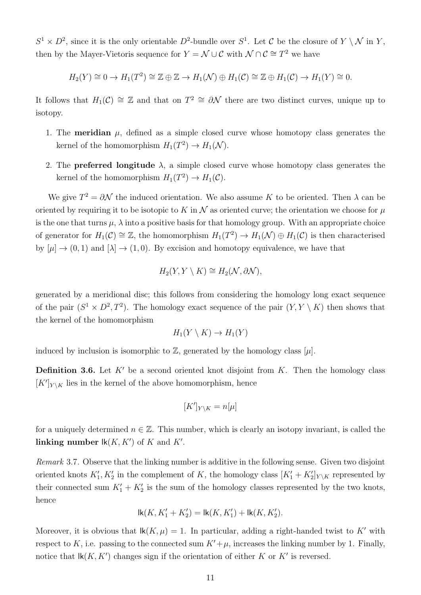$S^1 \times D^2$ , since it is the only orientable  $D^2$ -bundle over  $S^1$ . Let C be the closure of  $Y \setminus \mathcal{N}$  in Y, then by the Mayer-Vietoris sequence for  $Y = \mathcal{N} \cup \mathcal{C}$  with  $\mathcal{N} \cap \mathcal{C} \cong T^2$  we have

$$
H_2(Y) \cong 0 \to H_1(T^2) \cong \mathbb{Z} \oplus \mathbb{Z} \to H_1(\mathcal{N}) \oplus H_1(\mathcal{C}) \cong \mathbb{Z} \oplus H_1(\mathcal{C}) \to H_1(Y) \cong 0.
$$

It follows that  $H_1(\mathcal{C}) \cong \mathbb{Z}$  and that on  $T^2 \cong \partial \mathcal{N}$  there are two distinct curves, unique up to isotopy.

- 1. The **meridian**  $\mu$ , defined as a simple closed curve whose homotopy class generates the kernel of the homomorphism  $H_1(T^2) \to H_1(\mathcal{N})$ .
- 2. The **preferred longitude**  $\lambda$ , a simple closed curve whose homotopy class generates the kernel of the homomorphism  $H_1(T^2) \to H_1(\mathcal{C})$ .

We give  $T^2 = \partial \mathcal{N}$  the induced orientation. We also assume K to be oriented. Then  $\lambda$  can be oriented by requiring it to be isotopic to K in  $\mathcal N$  as oriented curve; the orientation we choose for  $\mu$ is the one that turns  $\mu$ ,  $\lambda$  into a positive basis for that homology group. With an appropriate choice of generator for  $H_1(\mathcal{C}) \cong \mathbb{Z}$ , the homomorphism  $H_1(T^2) \to H_1(\mathcal{N}) \oplus H_1(\mathcal{C})$  is then characterised by  $[\mu] \to (0, 1)$  and  $[\lambda] \to (1, 0)$ . By excision and homotopy equivalence, we have that

$$
H_2(Y, Y \setminus K) \cong H_2(\mathcal{N}, \partial \mathcal{N}),
$$

generated by a meridional disc; this follows from considering the homology long exact sequence of the pair  $(S^1 \times D^2, T^2)$ . The homology exact sequence of the pair  $(Y, Y \setminus K)$  then shows that the kernel of the homomorphism

$$
H_1(Y \setminus K) \to H_1(Y)
$$

induced by inclusion is isomorphic to  $\mathbb{Z}$ , generated by the homology class [µ].

**Definition 3.6.** Let  $K'$  be a second oriented knot disjoint from  $K$ . Then the homology class  $[K']_{Y \setminus K}$  lies in the kernel of the above homomorphism, hence

$$
[K']_{Y\setminus K}=n[\mu]
$$

for a uniquely determined  $n \in \mathbb{Z}$ . This number, which is clearly an isotopy invariant, is called the linking number  $\mathsf{lk}(K,K')$  of K and  $K'$ .

Remark 3.7. Observe that the linking number is additive in the following sense. Given two disjoint oriented knots  $K'_1, K'_2$  in the complement of K, the homology class  $[K'_1 + K'_2]_{Y \setminus K}$  represented by their connected sum  $K'_1 + K'_2$  is the sum of the homology classes represented by the two knots, hence

$$
{\rm lk}(K,K_1'+K_2')={\rm lk}(K,K_1')+{\rm lk}(K,K_2').
$$

<span id="page-10-0"></span>Moreover, it is obvious that  $lk(K, \mu) = 1$ . In particular, adding a right-handed twist to K' with respect to K, i.e. passing to the connected sum  $K'+\mu$ , increases the linking number by 1. Finally, notice that  $\mathsf{lk}(K, K')$  changes sign if the orientation of either K or K' is reversed.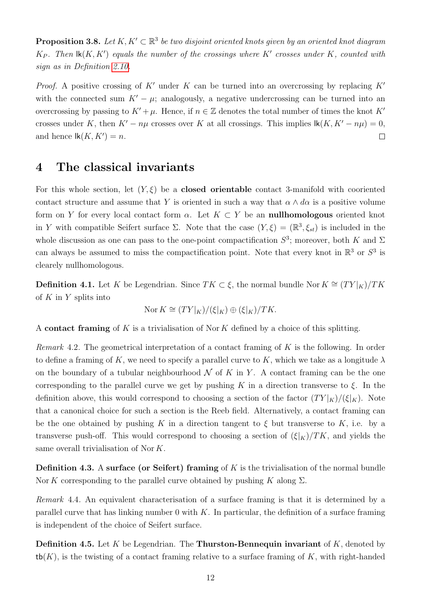**Proposition 3.8.** Let  $K, K' \subset \mathbb{R}^3$  be two disjoint oriented knots given by an oriented knot diagram  $K_P$ . Then  $\mathsf{lk}(K,K')$  equals the number of the crossings where  $K'$  crosses under  $K$ , counted with sign as in Definition [2.10.](#page-8-0)

*Proof.* A positive crossing of K' under K can be turned into an overcrossing by replacing  $K'$ with the connected sum  $K' - \mu$ ; analogously, a negative undercrossing can be turned into an overcrossing by passing to  $K' + \mu$ . Hence, if  $n \in \mathbb{Z}$  denotes the total number of times the knot  $K'$ crosses under K, then  $K' - n\mu$  crosses over K at all crossings. This implies  $\mathsf{lk}(K, K' - n\mu) = 0$ , and hence  $\text{lk}(K, K') = n$ .  $\Box$ 

## 4 The classical invariants

For this whole section, let  $(Y, \xi)$  be a **closed orientable** contact 3-manifold with cooriented contact structure and assume that Y is oriented in such a way that  $\alpha \wedge d\alpha$  is a positive volume form on Y for every local contact form  $\alpha$ . Let  $K \subset Y$  be an **nullhomologous** oriented knot in Y with compatible Seifert surface  $\Sigma$ . Note that the case  $(Y,\xi)=(\mathbb{R}^3,\xi_{st})$  is included in the whole discussion as one can pass to the one-point compactification  $S^3$ ; moreover, both K and  $\Sigma$ can always be assumed to miss the compactification point. Note that every knot in  $\mathbb{R}^3$  or  $S^3$  is clearely nullhomologous.

**Definition 4.1.** Let K be Legendrian. Since  $TK \subset \xi$ , the normal bundle Nor  $K \cong (TY|_K)/TK$ of  $K$  in  $Y$  splits into

$$
Nor K \cong (TY|_K)/(\xi|_K) \oplus (\xi|_K)/TK.
$$

A contact framing of K is a trivialisation of Nor K defined by a choice of this splitting.

Remark 4.2. The geometrical interpretation of a contact framing of  $K$  is the following. In order to define a framing of K, we need to specify a parallel curve to K, which we take as a longitude  $\lambda$ on the boundary of a tubular neighbourhood  $\mathcal N$  of K in Y. A contact framing can be the one corresponding to the parallel curve we get by pushing K in a direction transverse to  $\xi$ . In the definition above, this would correspond to choosing a section of the factor  $(TY|_K)/(\xi|_K)$ . Note that a canonical choice for such a section is the Reeb field. Alternatively, a contact framing can be the one obtained by pushing K in a direction tangent to  $\xi$  but transverse to K, i.e. by a transverse push-off. This would correspond to choosing a section of  $(\xi|_K)/TK$ , and yields the same overall trivialisation of Nor K.

**Definition 4.3.** A surface (or Seifert) framing of K is the trivialisation of the normal bundle Nor K corresponding to the parallel curve obtained by pushing K along  $\Sigma$ .

Remark 4.4. An equivalent characterisation of a surface framing is that it is determined by a parallel curve that has linking number 0 with  $K$ . In particular, the definition of a surface framing is independent of the choice of Seifert surface.

**Definition 4.5.** Let  $K$  be Legendrian. The **Thurston-Bennequin invariant** of  $K$ , denoted by  $\text{tb}(K)$ , is the twisting of a contact framing relative to a surface framing of K, with right-handed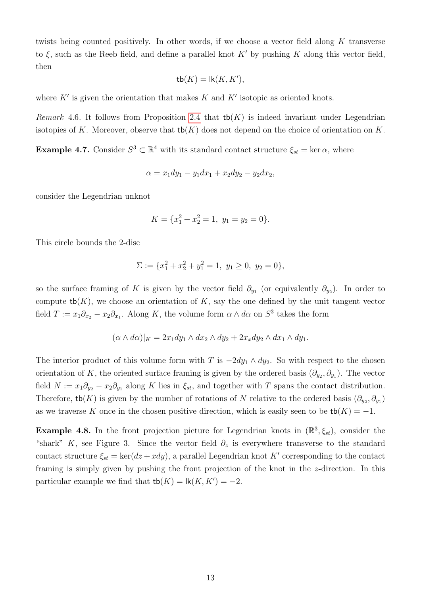twists being counted positively. In other words, if we choose a vector field along K transverse to  $\xi$ , such as the Reeb field, and define a parallel knot K' by pushing K along this vector field, then

$$
\mathsf{tb}(K) = \mathsf{lk}(K, K'),
$$

where  $K'$  is given the orientation that makes  $K$  and  $K'$  isotopic as oriented knots.

*Remark* 4.6. It follows from Proposition [2.4](#page-7-0) that  $\text{tb}(K)$  is indeed invariant under Legendrian isotopies of K. Moreover, observe that  $\mathsf{tb}(K)$  does not depend on the choice of orientation on K.

<span id="page-12-1"></span>**Example 4.7.** Consider  $S^3 \subset \mathbb{R}^4$  with its standard contact structure  $\xi_{st} = \ker \alpha$ , where

$$
\alpha = x_1 dy_1 - y_1 dx_1 + x_2 dy_2 - y_2 dx_2,
$$

consider the Legendrian unknot

$$
K = \{x_1^2 + x_2^2 = 1, \ y_1 = y_2 = 0\}.
$$

This circle bounds the 2-disc

$$
\Sigma := \{x_1^2 + x_2^2 + y_1^2 = 1, \ y_1 \ge 0, \ y_2 = 0\},\
$$

so the surface framing of K is given by the vector field  $\partial_{y_1}$  (or equivalently  $\partial_{y_2}$ ). In order to compute  $\text{tb}(K)$ , we choose an orientation of K, say the one defined by the unit tangent vector field  $T := x_1 \partial_{x_2} - x_2 \partial_{x_1}$ . Along K, the volume form  $\alpha \wedge d\alpha$  on  $S^3$  takes the form

$$
(\alpha \wedge d\alpha)|_K = 2x_1 dy_1 \wedge dx_2 \wedge dy_2 + 2x_x dy_2 \wedge dx_1 \wedge dy_1.
$$

The interior product of this volume form with T is  $-2dy_1 \wedge dy_2$ . So with respect to the chosen orientation of K, the oriented surface framing is given by the ordered basis  $(\partial_{y_2}, \partial_{y_1})$ . The vector field  $N := x_1 \partial_{y_2} - x_2 \partial_{y_1}$  along K lies in  $\xi_{st}$ , and together with T spans the contact distribution. Therefore, tb(K) is given by the number of rotations of N relative to the ordered basis  $(\partial_{y_2}, \partial_{y_1})$ as we traverse K once in the chosen positive direction, which is easily seen to be  $\mathsf{tb}(K) = -1$ .

<span id="page-12-0"></span>**Example 4.8.** In the front projection picture for Legendrian knots in  $(\mathbb{R}^3, \xi_{st})$ , consider the "shark" K, see Figure 3. Since the vector field  $\partial_z$  is everywhere transverse to the standard contact structure  $\xi_{st} = \ker(dz + xdy)$ , a parallel Legendrian knot K' corresponding to the contact framing is simply given by pushing the front projection of the knot in the z-direction. In this particular example we find that  $\mathsf{tb}(K) = \mathsf{lk}(K, K') = -2$ .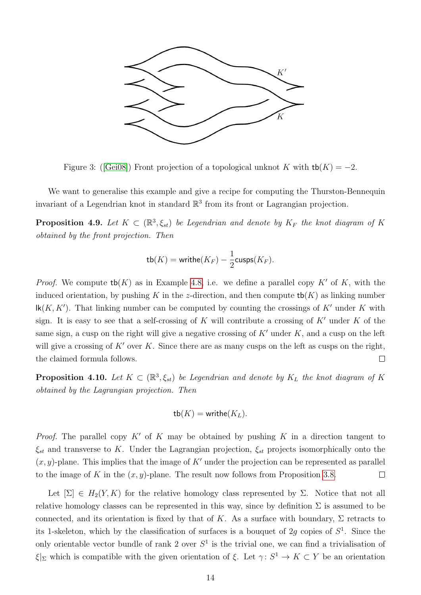

Figure3: ([\[Gei08\]](#page-19-0)) Front projection of a topological unknot K with  $tb(K) = -2$ .

We want to generalise this example and give a recipe for computing the Thurston-Bennequin invariant of a Legendrian knot in standard  $\mathbb{R}^3$  from its front or Lagrangian projection.

<span id="page-13-0"></span>**Proposition 4.9.** Let  $K \subset (\mathbb{R}^3, \xi_{st})$  be Legendrian and denote by  $K_F$  the knot diagram of K obtained by the front projection. Then

$$
\mathsf{tb}(K) = \mathsf{write}(K_F) - \frac{1}{2} \mathsf{cusps}(K_F).
$$

*Proof.* We compute  $\text{tb}(K)$  as in Example [4.8,](#page-12-0) i.e. we define a parallel copy K' of K, with the induced orientation, by pushing K in the z-direction, and then compute  $\mathsf{tb}(K)$  as linking number  $lk(K, K')$ . That linking number can be computed by counting the crossings of  $K'$  under K with sign. It is easy to see that a self-crossing of K will contribute a crossing of  $K'$  under K of the same sign, a cusp on the right will give a negative crossing of  $K'$  under K, and a cusp on the left will give a crossing of  $K'$  over K. Since there are as many cusps on the left as cusps on the right. the claimed formula follows.  $\Box$ 

**Proposition 4.10.** Let  $K \subset (\mathbb{R}^3, \xi_{st})$  be Legendrian and denote by  $K_L$  the knot diagram of K obtained by the Lagrangian projection. Then

$$
\mathsf{tb}(K) = \mathsf{write}(K_L).
$$

*Proof.* The parallel copy  $K'$  of K may be obtained by pushing K in a direction tangent to  $\xi_{st}$  and transverse to K. Under the Lagrangian projection,  $\xi_{st}$  projects isomorphically onto the  $(x, y)$ -plane. This implies that the image of K' under the projection can be represented as parallel to the image of K in the  $(x, y)$ -plane. The result now follows from Proposition [3.8.](#page-10-0)  $\Box$ 

Let  $[\Sigma] \in H_2(Y,K)$  for the relative homology class represented by  $\Sigma$ . Notice that not all relative homology classes can be represented in this way, since by definition  $\Sigma$  is assumed to be connected, and its orientation is fixed by that of K. As a surface with boundary,  $\Sigma$  retracts to its 1-skeleton, which by the classification of surfaces is a bouquet of 2g copies of  $S^1$ . Since the only orientable vector bundle of rank 2 over  $S<sup>1</sup>$  is the trivial one, we can find a trivialisation of  $\xi|_{\Sigma}$  which is compatible with the given orientation of  $\xi$ . Let  $\gamma: S^1 \to K \subset Y$  be an orientation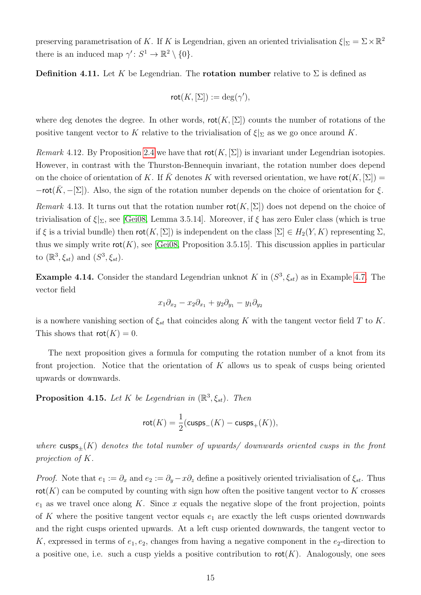preserving parametrisation of K. If K is Legendrian, given an oriented trivialisation  $\xi|_{\Sigma} = \Sigma \times \mathbb{R}^2$ there is an induced map  $\gamma' : S^1 \to \mathbb{R}^2 \setminus \{0\}.$ 

**Definition 4.11.** Let K be Legendrian. The **rotation number** relative to  $\Sigma$  is defined as

$$
\mathsf{rot}(K,[\Sigma]) := \deg(\gamma'),
$$

where deg denotes the degree. In other words,  $rot(K, |\Sigma|)$  counts the number of rotations of the positive tangent vector to K relative to the trivialisation of  $\xi|_{\Sigma}$  as we go once around K.

*Remark* 4.12. By Proposition [2.4](#page-7-0) we have that  $\text{rot}(K, [\Sigma])$  is invariant under Legendrian isotopies. However, in contrast with the Thurston-Bennequin invariant, the rotation number does depend on the choice of orientation of K. If K denotes K with reversed orientation, we have  $\text{rot}(K, [\Sigma]) =$  $-\text{rot}(\overline{K}, -[\Sigma])$ . Also, the sign of the rotation number depends on the choice of orientation for  $\xi$ . Remark 4.13. It turns out that the rotation number  $rot(K, [\Sigma])$  does not depend on the choice of trivialisation of  $\xi|_{\Sigma}$ , see [\[Gei08,](#page-19-0) Lemma 3.5.14]. Moreover, if  $\xi$  has zero Euler class (which is true if  $\xi$  is a trivial bundle) then  $\text{rot}(K, [\Sigma])$  is independent on the class  $[\Sigma] \in H_2(Y, K)$  representing  $\Sigma$ , thus we simply write  $\text{rot}(K)$ , see [\[Gei08,](#page-19-0) Proposition 3.5.15]. This discussion applies in particular to  $(\mathbb{R}^3, \xi_{st})$  and  $(S^3, \xi_{st})$ .

**Example 4.14.** Consider the standard Legendrian unknot K in  $(S^3, \xi_{st})$  as in Example [4.7.](#page-12-1) The vector field

$$
x_1\partial_{x_2}-x_2\partial_{x_1}+y_2\partial_{y_1}-y_1\partial_{y_2}
$$

is a nowhere vanishing section of  $\xi_{st}$  that coincides along K with the tangent vector field T to K. This shows that  $\text{rot}(K) = 0$ .

The next proposition gives a formula for computing the rotation number of a knot from its front projection. Notice that the orientation of  $K$  allows us to speak of cusps being oriented upwards or downwards.

**Proposition 4.15.** Let K be Legendrian in  $(\mathbb{R}^3, \xi_{st})$ . Then

$$
\mathsf{rot}(K) = \frac{1}{2}(\mathsf{cusps}_-(K) - \mathsf{cusps}_+(K)),
$$

where cusps<sub>+</sub> $(K)$  denotes the total number of upwards/ downwards oriented cusps in the front projection of K.

*Proof.* Note that  $e_1 := \partial_x$  and  $e_2 := \partial_y - x\partial_z$  define a positively oriented trivialisation of  $\xi_{st}$ . Thus  $rot(K)$  can be computed by counting with sign how often the positive tangent vector to K crosses  $e_1$  as we travel once along K. Since x equals the negative slope of the front projection, points of K where the positive tangent vector equals  $e_1$  are exactly the left cusps oriented downwards and the right cusps oriented upwards. At a left cusp oriented downwards, the tangent vector to K, expressed in terms of  $e_1, e_2$ , changes from having a negative component in the  $e_2$ -direction to a positive one, i.e. such a cusp yields a positive contribution to  $\text{rot}(K)$ . Analogously, one sees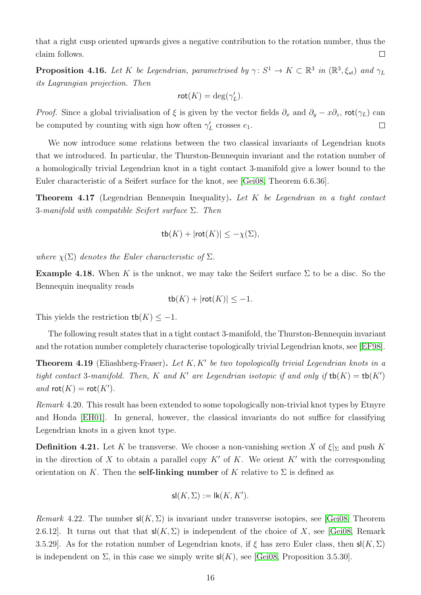that a right cusp oriented upwards gives a negative contribution to the rotation number, thus the claim follows.  $\Box$ 

**Proposition 4.16.** Let K be Legendrian, parametrised by  $\gamma: S^1 \to K \subset \mathbb{R}^3$  in  $(\mathbb{R}^3, \xi_{st})$  and  $\gamma_L$ its Lagrangian projection. Then

$$
\mathsf{rot}(K) = \deg(\gamma'_L).
$$

*Proof.* Since a global trivialisation of  $\xi$  is given by the vector fields  $\partial_x$  and  $\partial_y - x\partial_z$ , rot( $\gamma_L$ ) can be computed by counting with sign how often  $\gamma'_{L}$  crosses  $e_1$ .  $\Box$ 

We now introduce some relations between the two classical invariants of Legendrian knots that we introduced. In particular, the Thurston-Bennequin invariant and the rotation number of a homologically trivial Legendrian knot in a tight contact 3-manifold give a lower bound to the Euler characteristic of a Seifert surface for the knot, see [\[Gei08,](#page-19-0) Theorem 6.6.36].

<span id="page-15-1"></span>Theorem 4.17 (Legendrian Bennequin Inequality). Let K be Legendrian in a tight contact 3-manifold with compatible Seifert surface  $\Sigma$ . Then

$$
tb(K) + |rot(K)| \leq -\chi(\Sigma),
$$

where  $\chi(\Sigma)$  denotes the Euler characteristic of  $\Sigma$ .

**Example 4.18.** When K is the unknot, we may take the Seifert surface  $\Sigma$  to be a disc. So the Bennequin inequality reads

$$
t\mathsf{b}(K) + |\mathsf{rot}(K)| \leq -1.
$$

This yields the restriction  $\mathsf{tb}(K) \leq -1$ .

The following result states that in a tight contact 3-manifold, the Thurston-Bennequin invariant and the rotation number completely characterise topologically trivial Legendrian knots, see [\[EF98\]](#page-19-2).

<span id="page-15-0"></span>**Theorem 4.19** (Eliashberg-Fraser). Let  $K, K'$  be two topologically trivial Legendrian knots in a tight contact 3-manifold. Then, K and K' are Legendrian isotopic if and only if  $\mathsf{tb}(K) = \mathsf{tb}(K')$ and  $\text{rot}(K) = \text{rot}(K')$ .

Remark 4.20. This result has been extended to some topologically non-trivial knot types by Etnyre and Honda [\[EH01\]](#page-19-3). In general, however, the classical invariants do not suffice for classifying Legendrian knots in a given knot type.

**Definition 4.21.** Let K be transverse. We choose a non-vanishing section X of  $\xi|_{\Sigma}$  and push K in the direction of X to obtain a parallel copy  $K'$  of K. We orient  $K'$  with the corresponding orientation on K. Then the **self-linking number** of K relative to  $\Sigma$  is defined as

$$
\mathsf{sl}(K,\Sigma) := \mathsf{lk}(K,K').
$$

*Remark* 4.22. The number  $\mathsf{sl}(K,\Sigma)$  is invariant under transverse isotopies, see [\[Gei08,](#page-19-0) Theorem 2.6.12]. It turns out that that  $\mathsf{sl}(K,\Sigma)$  is independent of the choice of X, see [\[Gei08,](#page-19-0) Remark 3.5.29]. As for the rotation number of Legendrian knots, if  $\xi$  has zero Euler class, then  $\mathsf{sl}(K,\Sigma)$ is independent on  $\Sigma$ , in this case we simply write  $\mathsf{sl}(K)$ , see [\[Gei08,](#page-19-0) Proposition 3.5.30].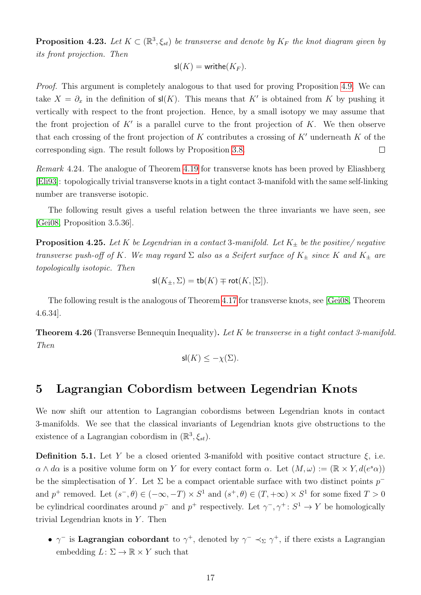**Proposition 4.23.** Let  $K \subset (\mathbb{R}^3, \xi_{st})$  be transverse and denote by  $K_F$  the knot diagram given by its front projection. Then

$$
\mathsf{sl}(K) = \mathsf{write}(K_F).
$$

Proof. This argument is completely analogous to that used for proving Proposition [4.9.](#page-13-0) We can take  $X = \partial_x$  in the definition of  $\mathsf{sl}(K)$ . This means that K' is obtained from K by pushing it vertically with respect to the front projection. Hence, by a small isotopy we may assume that the front projection of  $K'$  is a parallel curve to the front projection of  $K$ . We then observe that each crossing of the front projection of K contributes a crossing of  $K'$  underneath K of the corresponding sign. The result follows by Proposition [3.8.](#page-10-0)  $\Box$ 

Remark 4.24. The analogue of Theorem [4.19](#page-15-0) for transverse knots has been proved by Eliashberg [\[Eli93\]](#page-19-4): topologically trivial transverse knots in a tight contact 3-manifold with the same self-linking number are transverse isotopic.

The following result gives a useful relation between the three invariants we have seen, see [\[Gei08,](#page-19-0) Proposition 3.5.36].

**Proposition 4.25.** Let K be Legendrian in a contact 3-manifold. Let  $K_{\pm}$  be the positive/negative transverse push-off of K. We may regard  $\Sigma$  also as a Seifert surface of  $K_{\pm}$  since K and  $K_{\pm}$  are topologically isotopic. Then

$$
\mathsf{sl}(K_\pm,\Sigma)=\mathsf{tb}(K)\mp\mathsf{rot}(K,[\Sigma]).
$$

The following result is the analogous of Theorem [4.17](#page-15-1) for transverse knots, see [\[Gei08,](#page-19-0) Theorem 4.6.34].

**Theorem 4.26** (Transverse Bennequin Inequality). Let K be transverse in a tight contact 3-manifold. Then

$$
\mathsf{sl}(K) \le -\chi(\Sigma).
$$

## 5 Lagrangian Cobordism between Legendrian Knots

We now shift our attention to Lagrangian cobordisms between Legendrian knots in contact 3-manifolds. We see that the classical invariants of Legendrian knots give obstructions to the existence of a Lagrangian cobordism in  $(\mathbb{R}^3, \xi_{st})$ .

**Definition 5.1.** Let Y be a closed oriented 3-manifold with positive contact structure  $\xi$ , i.e.  $\alpha \wedge d\alpha$  is a positive volume form on Y for every contact form  $\alpha$ . Let  $(M, \omega) := (\mathbb{R} \times Y, d(e^s \alpha))$ be the simplectisation of Y. Let  $\Sigma$  be a compact orientable surface with two distinct points  $p^$ and  $p^+$  removed. Let  $(s^-,\theta) \in (-\infty,-T) \times S^1$  and  $(s^+,\theta) \in (T,+\infty) \times S^1$  for some fixed  $T > 0$ be cylindrical coordinates around  $p^-$  and  $p^+$  respectively. Let  $\gamma^-$ ,  $\gamma^+$ :  $S^1 \to Y$  be homologically trivial Legendrian knots in  $Y$ . Then

•  $\gamma^-$  is Lagrangian cobordant to  $\gamma^+$ , denoted by  $\gamma^- \prec_{\Sigma} \gamma^+$ , if there exists a Lagrangian embedding  $L: \Sigma \to \mathbb{R} \times Y$  such that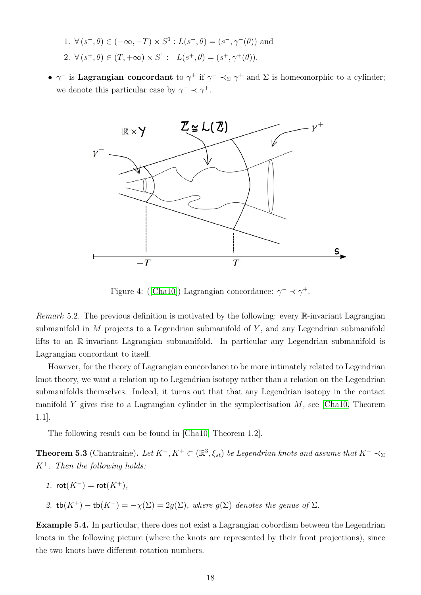- 1.  $\forall (s^-,\theta) \in (-\infty,-T) \times S^1 : L(s^-,\theta) = (s^-,\gamma^-(\theta))$  and 2.  $\forall (s^+, \theta) \in (T, +\infty) \times S^1 : L(s^+, \theta) = (s^+, \gamma^+(\theta)).$
- $\gamma^-$  is Lagrangian concordant to  $\gamma^+$  if  $\gamma^- \prec_{\Sigma} \gamma^+$  and  $\Sigma$  is homeomorphic to a cylinder; we denote this particular case by  $\gamma^- \prec \gamma^+$ .



Figure4: ([\[Cha10\]](#page-19-5)) Lagrangian concordance:  $\gamma^- \prec \gamma^+$ .

Remark 5.2. The previous definition is motivated by the following: every  $\mathbb{R}$ -invariant Lagrangian submanifold in  $M$  projects to a Legendrian submanifold of  $Y$ , and any Legendrian submanifold lifts to an R-invariant Lagrangian submanifold. In particular any Legendrian submanifold is Lagrangian concordant to itself.

However, for the theory of Lagrangian concordance to be more intimately related to Legendrian knot theory, we want a relation up to Legendrian isotopy rather than a relation on the Legendrian submanifolds themselves. Indeed, it turns out that that any Legendrian isotopy in the contact manifold Y gives rise to a Lagrangian cylinder in the symplectisation  $M$ , see [\[Cha10,](#page-19-5) Theorem 1.1].

The following result can be found in [\[Cha10,](#page-19-5) Theorem 1.2].

<span id="page-17-0"></span>**Theorem 5.3** (Chantraine). Let  $K^-, K^+ \subset (\mathbb{R}^3, \xi_{st})$  be Legendrian knots and assume that  $K^- \prec_{\Sigma}$  $K^+$ . Then the following holds:

$$
1. \ \mathrm{rot}(K^-) = \mathrm{rot}(K^+),
$$

2. 
$$
\text{tb}(K^+) - \text{tb}(K^-) = -\chi(\Sigma) = 2g(\Sigma)
$$
, where  $g(\Sigma)$  denotes the genus of  $\Sigma$ .

Example 5.4. In particular, there does not exist a Lagrangian cobordism between the Legendrian knots in the following picture (where the knots are represented by their front projections), since the two knots have different rotation numbers.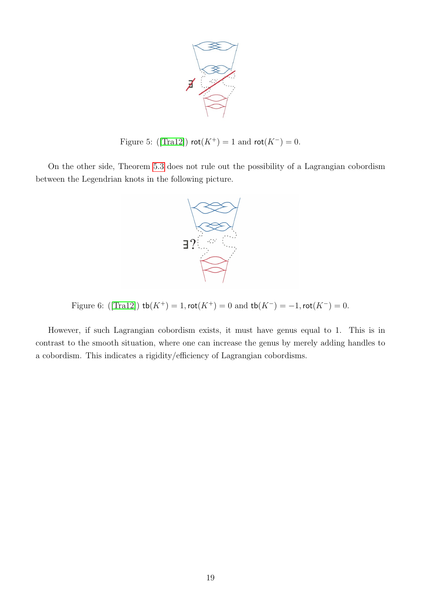

Figure5: ([\[Tra12\]](#page-19-6))  $\mathsf{rot}(K^+) = 1$  and  $\mathsf{rot}(K^-) = 0$ .

On the other side, Theorem [5.3](#page-17-0) does not rule out the possibility of a Lagrangian cobordism between the Legendrian knots in the following picture.



Figure6: ([\[Tra12\]](#page-19-6))  $\text{tb}(K^+) = 1, \text{rot}(K^+) = 0$  and  $\text{tb}(K^-) = -1, \text{rot}(K^-) = 0$ .

However, if such Lagrangian cobordism exists, it must have genus equal to 1. This is in contrast to the smooth situation, where one can increase the genus by merely adding handles to a cobordism. This indicates a rigidity/efficiency of Lagrangian cobordisms.